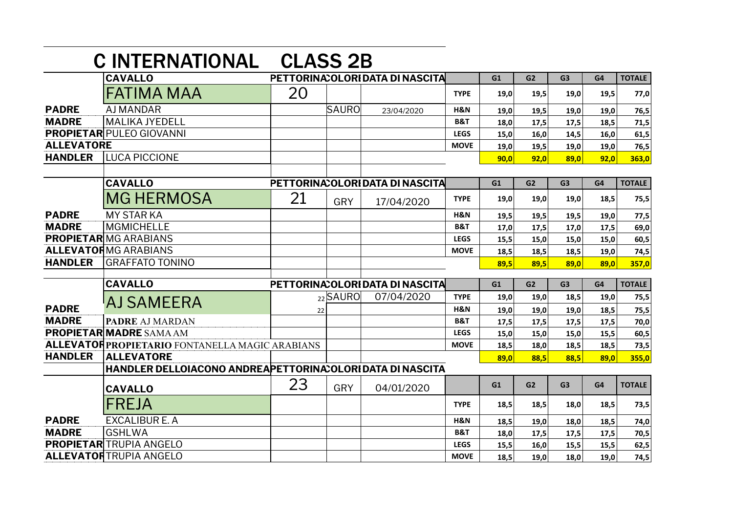|                   | <b>C INTERNATIONAL</b>                                   | <b>CLASS 2B</b> |            |                                  |                |      |                |                |      |               |
|-------------------|----------------------------------------------------------|-----------------|------------|----------------------------------|----------------|------|----------------|----------------|------|---------------|
|                   | <b>CAVALLO</b>                                           |                 |            | PETTORINA: OLORI DATA DI NASCITA |                | G1   | G <sub>2</sub> | G <sub>3</sub> | G4   | <b>TOTALE</b> |
|                   | <b>FATIMA MAA</b>                                        | 20              |            |                                  | <b>TYPE</b>    | 19,0 | 19,5           | 19,0           | 19,5 | 77,0          |
| <b>PADRE</b>      | <b>AJ MANDAR</b>                                         |                 | SAURO      | 23/04/2020                       | H&N            | 19,0 | 19,5           | 19,0           | 19,0 | 76,5          |
| <b>MADRE</b>      | lmalika jyedell                                          |                 |            |                                  | <b>B&amp;T</b> | 18,0 | 17,5           | 17,5           | 18,5 | 71,5          |
|                   | <b>PROPIETAR PULEO GIOVANNI</b>                          |                 |            |                                  | <b>LEGS</b>    | 15,0 | 16,0           | 14,5           | 16,0 | 61,5          |
| <b>ALLEVATORE</b> |                                                          |                 |            |                                  | <b>MOVE</b>    | 19,0 | 19,5           | 19,0           | 19,0 | 76,5          |
| <b>HANDLER</b>    | <b>LUCA PICCIONE</b>                                     |                 |            |                                  |                | 90,0 | 92,0           | 89,0           | 92.0 | 363,0         |
|                   |                                                          |                 |            |                                  |                |      |                |                |      |               |
|                   | <b>CAVALLO</b>                                           |                 |            | PETTORINA: OLORI DATA DI NASCITA |                | G1   | G <sub>2</sub> | G <sub>3</sub> | G4   | <b>TOTALE</b> |
|                   | <b>MG HERMOSA</b>                                        | 21              | <b>GRY</b> | 17/04/2020                       | <b>TYPE</b>    | 19.0 | 19.0           | 19,0           | 18,5 | 75,5          |
| <b>PADRE</b>      | <b>MY STAR KA</b>                                        |                 |            |                                  | H&N            | 19,5 | 19,5           | 19,5           | 19,0 | 77,5          |
| <b>MADRE</b>      | MGMICHELLE                                               |                 |            |                                  | <b>B&amp;T</b> | 17,0 | 17,5           | 17,0           | 17,5 | 69,0          |
|                   | <b>PROPIETARIMG ARABIANS</b>                             |                 |            |                                  | <b>LEGS</b>    | 15,5 | 15,0           | 15,0           | 15,0 | 60,5          |
|                   | <b>ALLEVATORMG ARABIANS</b>                              |                 |            |                                  | <b>MOVE</b>    | 18,5 | 18,5           | 18,5           | 19,0 | 74,5          |
| <b>HANDLER</b>    | <b>GRAFFATO TONINO</b>                                   |                 |            |                                  |                | 89,5 | 89,5           | 89,0           | 89,0 | 357,0         |
|                   | <b>CAVALLO</b>                                           |                 |            | PETTORINA: OLORI DATA DI NASCITA |                | G1   | G2             | G <sub>3</sub> | G4   | <b>TOTALE</b> |
|                   | 'AJ SAMEERA                                              |                 | $22$ SAURO | 07/04/2020                       | <b>TYPE</b>    | 19,0 | 19,0           | 18,5           | 19,0 | 75,5          |
| <b>PADRE</b>      |                                                          | 22              |            |                                  | H&N            | 19,0 | 19,0           | 19,0           | 18,5 | 75,5          |
| <b>MADRE</b>      | <b>PADRE AJ MARDAN</b>                                   |                 |            |                                  | <b>B&amp;T</b> | 17,5 | 17,5           | 17,5           | 17,5 | 70,0          |
|                   | <b>PROPIETAR MADRE SAMA AM</b>                           |                 |            |                                  | <b>LEGS</b>    | 15,0 | 15,0           | 15,0           | 15,5 | 60,5          |
|                   | <b>ALLEVATORPROPIETARIO FONTANELLA MAGIC ARABIANS</b>    |                 |            |                                  | <b>MOVE</b>    | 18,5 | 18,0           | 18,5           | 18,5 | 73,5          |
| <b>HANDLER</b>    | <b>ALLEVATORE</b>                                        |                 |            |                                  |                | 89,0 | 88,5           | 88,5           | 89.0 | 355,0         |
|                   | HANDLER DELLOIACONO ANDREAPETTORINACOLORIDATA DI NASCITA |                 |            |                                  |                |      |                |                |      |               |
|                   | <b>CAVALLO</b>                                           | 23              | GRY        | 04/01/2020                       |                | G1   | G2             | G <sub>3</sub> | G4   | <b>TOTALE</b> |
|                   | <b>FREJA</b>                                             |                 |            |                                  | <b>TYPE</b>    | 18,5 | 18,5           | 18,0           | 18,5 | 73,5          |
| <b>PADRE</b>      | <b>EXCALIBUR E. A</b>                                    |                 |            |                                  | H&N            | 18,5 | 19,0           | 18,0           | 18,5 | 74,0          |
| <b>MADRE</b>      | <b>GSHLWA</b>                                            |                 |            |                                  | <b>B&amp;T</b> | 18,0 | 17,5           | 17,5           | 17,5 | 70,5          |
|                   | <b>PROPIETAR</b> TRUPIA ANGELO                           |                 |            |                                  | <b>LEGS</b>    | 15,5 | 16,0           | 15,5           | 15,5 | 62,5          |
|                   | <b>ALLEVATORTRUPIA ANGELO</b>                            |                 |            |                                  | <b>MOVE</b>    | 18,5 | 19,0           | 18,0           | 19,0 | 74,5          |